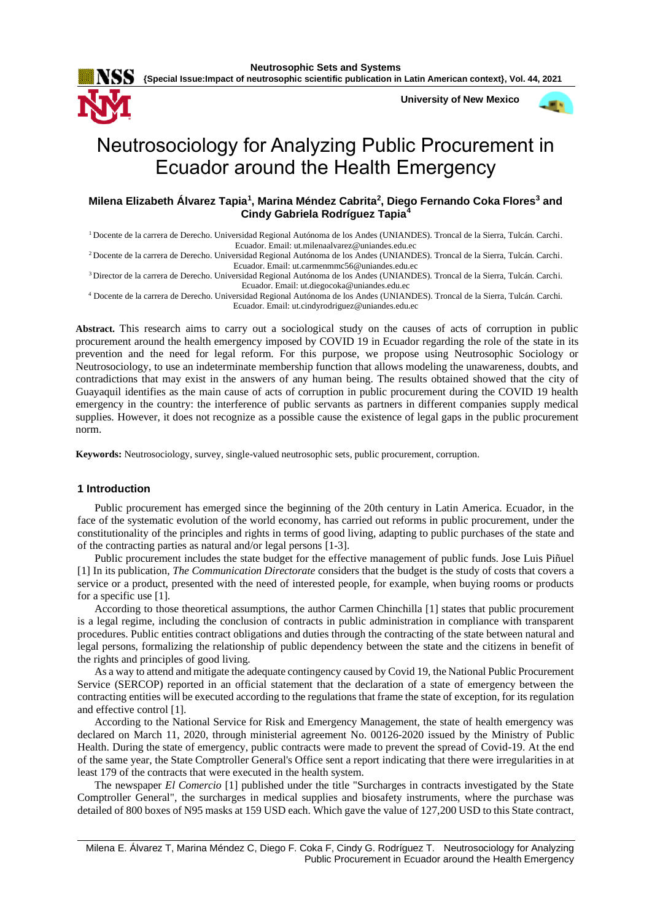

**University of New Mexico**



# Neutrosociology for Analyzing Public Procurement in Ecuador around the Health Emergency

# **Milena Elizabeth Álvarez Tapia<sup>1</sup> , Marina Méndez Cabrita<sup>2</sup> , Diego Fernando Coka Flores<sup>3</sup> and Cindy Gabriela Rodríguez Tapia<sup>4</sup>**

<sup>1</sup>Docente de la carrera de Derecho. Universidad Regional Autónoma de los Andes (UNIANDES). Troncal de la Sierra, Tulcán. Carchi. Ecuador. Email: [ut.milenaalvarez@uniandes.edu.ec](mailto:ut.milenaalvarez@uniandes.edu.ec)

<sup>2</sup>Docente de la carrera de Derecho. Universidad Regional Autónoma de los Andes (UNIANDES). Troncal de la Sierra, Tulcán. Carchi. Ecuador. Email[: ut.carmenmmc56@uniandes.edu.ec](mailto:ut.carmenmmc56@uniandes.edu.ec)

<sup>3</sup>Director de la carrera de Derecho. Universidad Regional Autónoma de los Andes (UNIANDES). Troncal de la Sierra, Tulcán. Carchi. Ecuador. Email: [ut.diegocoka@uniandes.edu.ec](mailto:ut.diegocoka@uniandes.edu.ec)

<sup>4</sup> Docente de la carrera de Derecho. Universidad Regional Autónoma de los Andes (UNIANDES). Troncal de la Sierra, Tulcán. Carchi. Ecuador. Email: [ut.cindyrodriguez@uniandes.edu.ec](mailto:ut.cindyrodriguez@uniandes.edu.ec)

**Abstract.** This research aims to carry out a sociological study on the causes of acts of corruption in public procurement around the health emergency imposed by COVID 19 in Ecuador regarding the role of the state in its prevention and the need for legal reform. For this purpose, we propose using Neutrosophic Sociology or Neutrosociology, to use an indeterminate membership function that allows modeling the unawareness, doubts, and contradictions that may exist in the answers of any human being. The results obtained showed that the city of Guayaquil identifies as the main cause of acts of corruption in public procurement during the COVID 19 health emergency in the country: the interference of public servants as partners in different companies supply medical supplies. However, it does not recognize as a possible cause the existence of legal gaps in the public procurement norm.

**Keywords:** Neutrosociology, survey, single-valued neutrosophic sets, public procurement, corruption.

# **1 Introduction**

Public procurement has emerged since the beginning of the 20th century in Latin America. Ecuador, in the face of the systematic evolution of the world economy, has carried out reforms in public procurement, under the constitutionality of the principles and rights in terms of good living, adapting to public purchases of the state and of the contracting parties as natural and/or legal persons [1-3].

Public procurement includes the state budget for the effective management of public funds. Jose Luis Piñuel [1] In its publication, *The Communication Directorate* considers that the budget is the study of costs that covers a service or a product, presented with the need of interested people, for example, when buying rooms or products for a specific use [1].

According to those theoretical assumptions, the author Carmen Chinchilla [1] states that public procurement is a legal regime, including the conclusion of contracts in public administration in compliance with transparent procedures. Public entities contract obligations and duties through the contracting of the state between natural and legal persons, formalizing the relationship of public dependency between the state and the citizens in benefit of the rights and principles of good living.

As a way to attend and mitigate the adequate contingency caused by Covid 19, the National Public Procurement Service (SERCOP) reported in an official statement that the declaration of a state of emergency between the contracting entities will be executed according to the regulations that frame the state of exception, for its regulation and effective control [1].

According to the National Service for Risk and Emergency Management, the state of health emergency was declared on March 11, 2020, through ministerial agreement No. 00126-2020 issued by the Ministry of Public Health. During the state of emergency, public contracts were made to prevent the spread of Covid-19. At the end of the same year, the State Comptroller General's Office sent a report indicating that there were irregularities in at least 179 of the contracts that were executed in the health system.

The newspaper *El Comercio* [1] published under the title "Surcharges in contracts investigated by the State Comptroller General", the surcharges in medical supplies and biosafety instruments, where the purchase was detailed of 800 boxes of N95 masks at 159 USD each. Which gave the value of 127,200 USD to this State contract,

Milena E. Álvarez T, Marina Méndez C, Diego F. Coka F, Cindy G. Rodríguez T. Neutrosociology for Analyzing Public Procurement in Ecuador around the Health Emergency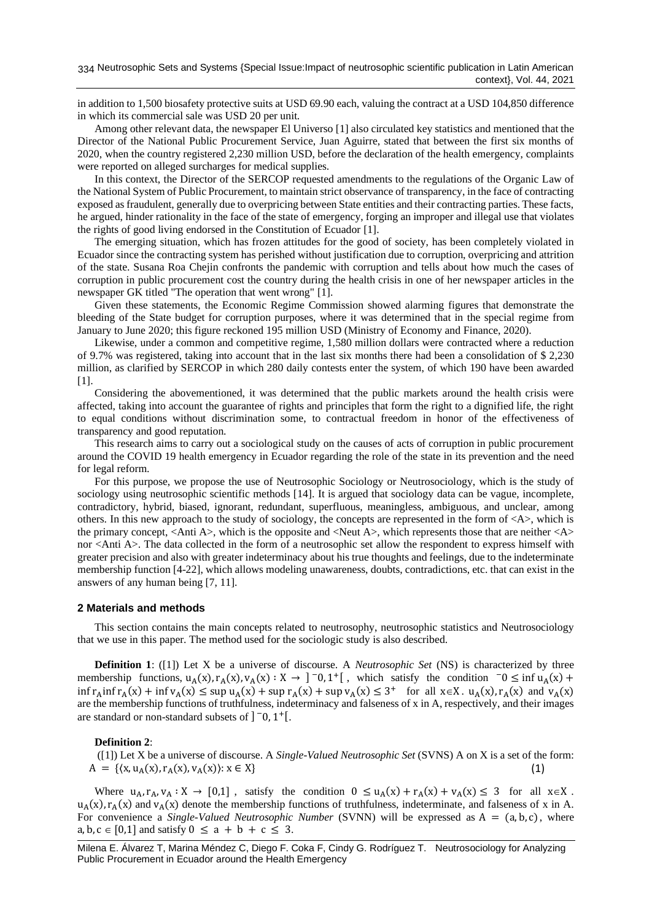in addition to 1,500 biosafety protective suits at USD 69.90 each, valuing the contract at a USD 104,850 difference in which its commercial sale was USD 20 per unit.

Among other relevant data, the newspaper El Universo [1] also circulated key statistics and mentioned that the Director of the National Public Procurement Service, Juan Aguirre, stated that between the first six months of 2020, when the country registered 2,230 million USD, before the declaration of the health emergency, complaints were reported on alleged surcharges for medical supplies.

In this context, the Director of the SERCOP requested amendments to the regulations of the Organic Law of the National System of Public Procurement, to maintain strict observance of transparency, in the face of contracting exposed as fraudulent, generally due to overpricing between State entities and their contracting parties. These facts, he argued, hinder rationality in the face of the state of emergency, forging an improper and illegal use that violates the rights of good living endorsed in the Constitution of Ecuador [1].

The emerging situation, which has frozen attitudes for the good of society, has been completely violated in Ecuador since the contracting system has perished without justification due to corruption, overpricing and attrition of the state. Susana Roa Chejin confronts the pandemic with corruption and tells about how much the cases of corruption in public procurement cost the country during the health crisis in one of her newspaper articles in the newspaper GK titled "The operation that went wrong" [1].

Given these statements, the Economic Regime Commission showed alarming figures that demonstrate the bleeding of the State budget for corruption purposes, where it was determined that in the special regime from January to June 2020; this figure reckoned 195 million USD (Ministry of Economy and Finance, 2020).

Likewise, under a common and competitive regime, 1,580 million dollars were contracted where a reduction of 9.7% was registered, taking into account that in the last six months there had been a consolidation of \$ 2,230 million, as clarified by SERCOP in which 280 daily contests enter the system, of which 190 have been awarded [1].

Considering the abovementioned, it was determined that the public markets around the health crisis were affected, taking into account the guarantee of rights and principles that form the right to a dignified life, the right to equal conditions without discrimination some, to contractual freedom in honor of the effectiveness of transparency and good reputation.

This research aims to carry out a sociological study on the causes of acts of corruption in public procurement around the COVID 19 health emergency in Ecuador regarding the role of the state in its prevention and the need for legal reform.

For this purpose, we propose the use of Neutrosophic Sociology or Neutrosociology, which is the study of sociology using neutrosophic scientific methods [14]. It is argued that sociology data can be vague, incomplete, contradictory, hybrid, biased, ignorant, redundant, superfluous, meaningless, ambiguous, and unclear, among others. In this new approach to the study of sociology, the concepts are represented in the form of  $\langle A \rangle$ , which is the primary concept, <Anti A>, which is the opposite and <Neut A>, which represents those that are neither <A> nor <Anti A>. The data collected in the form of a neutrosophic set allow the respondent to express himself with greater precision and also with greater indeterminacy about his true thoughts and feelings, due to the indeterminate membership function [4-22], which allows modeling unawareness, doubts, contradictions, etc. that can exist in the answers of any human being [7, 11].

## **2 Materials and methods**

This section contains the main concepts related to neutrosophy, neutrosophic statistics and Neutrosociology that we use in this paper. The method used for the sociologic study is also described.

**Definition 1**: ([1]) Let X be a universe of discourse. A *Neutrosophic Set* (NS) is characterized by three membership functions,  $u_A(x)$ ,  $r_A(x)$ ,  $v_A(x)$ :  $X \to ]-0,1^+[$ , which satisfy the condition  $-0 \le \inf u_A(x) +$  $\inf r_A$  inf  $r_A(x) + \inf v_A(x) \le \sup u_A(x) + \sup r_A(x) + \sup v_A(x) \le 3^+$  for all  $x \in X$ .  $u_A(x)$ ,  $r_A(x)$  and  $v_A(x)$ are the membership functions of truthfulness, indeterminacy and falseness of x in A, respectively, and their images are standard or non-standard subsets of  $]$  <sup>-</sup>0, 1<sup>+</sup>[.

#### **Definition 2**:

([1]) Let X be a universe of discourse. A *Single-Valued Neutrosophic Set* (SVNS) A on X is a set of the form:  $A = \{(x, u_A(x), r_A(x), v_A(x)) : x \in X\}$  (1)

Where  $u_A, r_A, v_A : X \to [0,1]$ , satisfy the condition  $0 \le u_A(x) + r_A(x) + v_A(x) \le 3$  for all  $x \in X$ .  $u_A(x)$ ,  $r_A(x)$  and  $v_A(x)$  denote the membership functions of truthfulness, indeterminate, and falseness of x in A. For convenience a *Single-Valued Neutrosophic Number* (SVNN) will be expressed as  $A = (a, b, c)$ , where a, b,  $c \in [0,1]$  and satisfy  $0 \le a + b + c \le 3$ .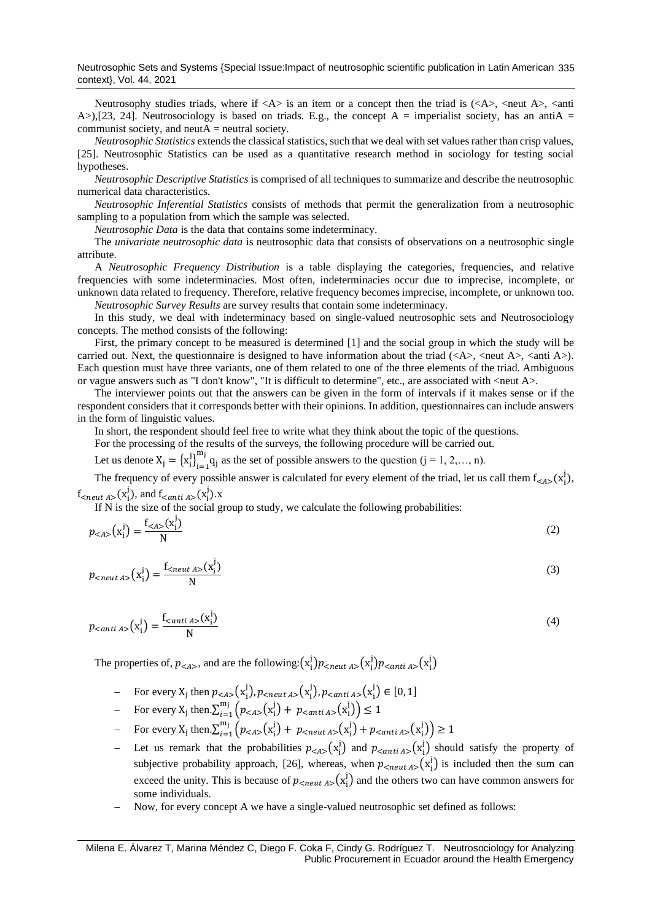Neutrosophy studies triads, where if  $\langle A \rangle$  is an item or a concept then the triad is  $(\langle A \rangle, \langle \text{neut } A \rangle, \langle \text{anti} \rangle)$ A $>$ ),[23, 24]. Neutrosociology is based on triads. E.g., the concept A = imperialist society, has an antiA = communist society, and neut $A$  = neutral society.

*Neutrosophic Statistics* extends the classical statistics, such that we deal with set values rather than crisp values, [25]. Neutrosophic Statistics can be used as a quantitative research method in sociology for testing social hypotheses.

*Neutrosophic Descriptive Statistics* is comprised of all techniques to summarize and describe the neutrosophic numerical data characteristics.

*Neutrosophic Inferential Statistics* consists of methods that permit the generalization from a neutrosophic sampling to a population from which the sample was selected.

*Neutrosophic Data* is the data that contains some indeterminacy.

The *univariate neutrosophic data* is neutrosophic data that consists of observations on a neutrosophic single attribute.

A *Neutrosophic Frequency Distribution* is a table displaying the categories, frequencies, and relative frequencies with some indeterminacies. Most often, indeterminacies occur due to imprecise, incomplete, or unknown data related to frequency. Therefore, relative frequency becomes imprecise, incomplete, or unknown too.

*Neutrosophic Survey Results* are survey results that contain some indeterminacy.

In this study, we deal with indeterminacy based on single-valued neutrosophic sets and Neutrosociology concepts. The method consists of the following:

First, the primary concept to be measured is determined [1] and the social group in which the study will be carried out. Next, the questionnaire is designed to have information about the triad  $(\langle A \rangle, \langle \text{neut } A \rangle, \langle \text{anti } A \rangle)$ . Each question must have three variants, one of them related to one of the three elements of the triad. Ambiguous or vague answers such as "I don't know", "It is difficult to determine", etc., are associated with <neut A>.

The interviewer points out that the answers can be given in the form of intervals if it makes sense or if the respondent considers that it corresponds better with their opinions. In addition, questionnaires can include answers in the form of linguistic values.

In short, the respondent should feel free to write what they think about the topic of the questions.

For the processing of the results of the surveys, the following procedure will be carried out.

Let us denote  $X_j = {x_i^j}_{i=1}^{m_j}$  $m_j$  q<sub>i</sub> as the set of possible answers to the question (j = 1, 2,..., n).

The frequency of every possible answer is calculated for every element of the triad, let us call them  $f_{< A>}(x_i^j)$ ,  $f_{\text{<}neut\ A>\}(x_i^j)$ , and  $f_{\text{<}anti\ A>\}(x_i^j)$ .x

If N is the size of the social group to study, we calculate the following probabilities:

$$
p_{}\left\(x\_i^j\right\) = \frac{f\_{}\left\\(x\\_i^j\right\\)}{N} \tag{2}
$$

$$
p_{\text{<}neut\ A\text{>}}\left(\mathbf{x}_{i}^{j}\right) = \frac{f_{\text{<}neut\ A\text{>}}\left(\mathbf{x}_{i}^{j}\right)}{N} \tag{3}
$$

$$
p_{\leq \text{anti }A>}(\mathbf{x}_i^j) = \frac{f_{\leq \text{anti }A>}(\mathbf{x}_i^j)}{N} \tag{4}
$$

The properties of,  $p_{\langle A \rangle}$ , and are the following: $(x_i^j)p_{\langle neutr \space A \rangle}(x_i^j)p_{\langle anti \space A \rangle}(x_i^j)$ 

- − For every  $X_j$  then  $p_{< A>} (x_i^j)$ ,  $p_{} (x_i^j)$ ,  $p_{} (x_i^j) \in [0, 1]$
- For every  $X_j$  then  $\sum_{i=1}^{m_j} (p_{\leq A>} (x_i^j) + p_{\leq \text{anti }A>} (x_i^j)) \leq 1$
- $\text{For every X}_j \text{ then } \sum_{i=1}^{m_j} (p_{< A>}(x_i^j) + p_{}(x_i^j) + p_{}(x_i^j)) \ge 1$
- − Let us remark that the probabilities  $p_{< A>}(x_i^j)$  and  $p_{< anti A>}(x_i^j)$  should satisfy the property of subjective probability approach, [26], whereas, when  $p_{\text{c}neut A}(\mathbf{x}_i^j)$  is included then the sum can exceed the unity. This is because of  $p_{\text{<}neut\,A>}(\mathbf{x}_i^j)$  and the others two can have common answers for some individuals.
- Now, for every concept A we have a single-valued neutrosophic set defined as follows: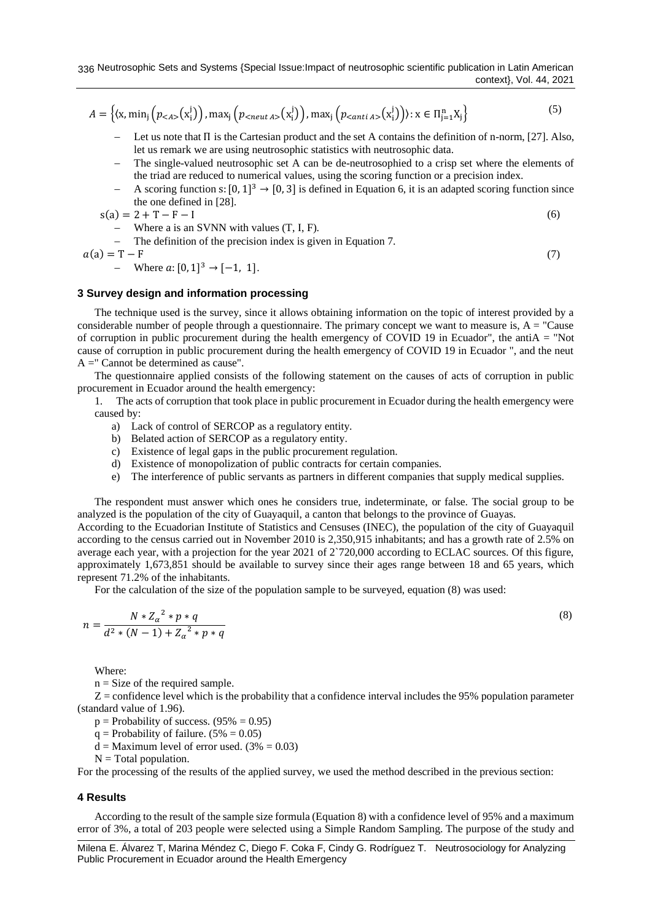$$
A = \left\{ \left( x, \min_{j} \left( p_{< A>} \left( x_i^j \right) \right), \max_{j} \left( p_{< \text{neut } A>} \left( x_i^j \right) \right), \max_{j} \left( p_{< \text{anti } A>} \left( x_i^j \right) \right) \right) : x \in \Pi_{j=1}^n X_j \right\} \tag{5}
$$

- − Let us note that Π is the Cartesian product and the set A contains the definition of n-norm, [27]. Also, let us remark we are using neutrosophic statistics with neutrosophic data.
- − The single-valued neutrosophic set A can be de-neutrosophied to a crisp set where the elements of the triad are reduced to numerical values, using the scoring function or a precision index.
- − A scoring function s:  $[0, 1]^3$  →  $[0, 3]$  is defined in Equation 6, it is an adapted scoring function since the one defined in [28].

$$
s(a) = 2 + T - F - I \tag{6}
$$

- Where a is an SVM with values 
$$
(T, I, F)
$$
.

The definition of the precision index is given in Equation 7.

$$
a(a) = T - F \tag{7}
$$

(8)

# **3 Survey design and information processing**

 $-$  Where  $a: [0, 1]^3 \rightarrow [-1, 1].$ 

The technique used is the survey, since it allows obtaining information on the topic of interest provided by a considerable number of people through a questionnaire. The primary concept we want to measure is,  $A = "Cause$ of corruption in public procurement during the health emergency of COVID 19 in Ecuador", the antiA = "Not cause of corruption in public procurement during the health emergency of COVID 19 in Ecuador ", and the neut A =" Cannot be determined as cause".

The questionnaire applied consists of the following statement on the causes of acts of corruption in public procurement in Ecuador around the health emergency:

1. The acts of corruption that took place in public procurement in Ecuador during the health emergency were caused by:

- a) Lack of control of SERCOP as a regulatory entity.
- b) Belated action of SERCOP as a regulatory entity.
- c) Existence of legal gaps in the public procurement regulation.
- d) Existence of monopolization of public contracts for certain companies.
- e) The interference of public servants as partners in different companies that supply medical supplies.

The respondent must answer which ones he considers true, indeterminate, or false. The social group to be analyzed is the population of the city of Guayaquil, a canton that belongs to the province of Guayas.

According to the Ecuadorian Institute of Statistics and Censuses (INEC), the population of the city of Guayaquil according to the census carried out in November 2010 is 2,350,915 inhabitants; and has a growth rate of 2.5% on average each year, with a projection for the year 2021 of 2`720,000 according to ECLAC sources. Of this figure, approximately 1,673,851 should be available to survey since their ages range between 18 and 65 years, which represent 71.2% of the inhabitants.

For the calculation of the size of the population sample to be surveyed, equation (8) was used:

$$
n = \frac{N * Z_{\alpha}^{2} * p * q}{d^{2} * (N-1) + Z_{\alpha}^{2} * p * q}
$$

Where:

 $n = Size of the required sample.$ 

 $Z =$  confidence level which is the probability that a confidence interval includes the 95% population parameter (standard value of 1.96).

 $p =$  Probability of success. (95% = 0.95)

 $q =$  Probability of failure. (5% = 0.05)

 $d =$ Maximum level of error used. (3% = 0.03)

 $N = Total population.$ 

For the processing of the results of the applied survey, we used the method described in the previous section:

## **4 Results**

According to the result of the sample size formula (Equation 8) with a confidence level of 95% and a maximum error of 3%, a total of 203 people were selected using a Simple Random Sampling. The purpose of the study and

Milena E. Álvarez T, Marina Méndez C, Diego F. Coka F, Cindy G. Rodríguez T. Neutrosociology for Analyzing Public Procurement in Ecuador around the Health Emergency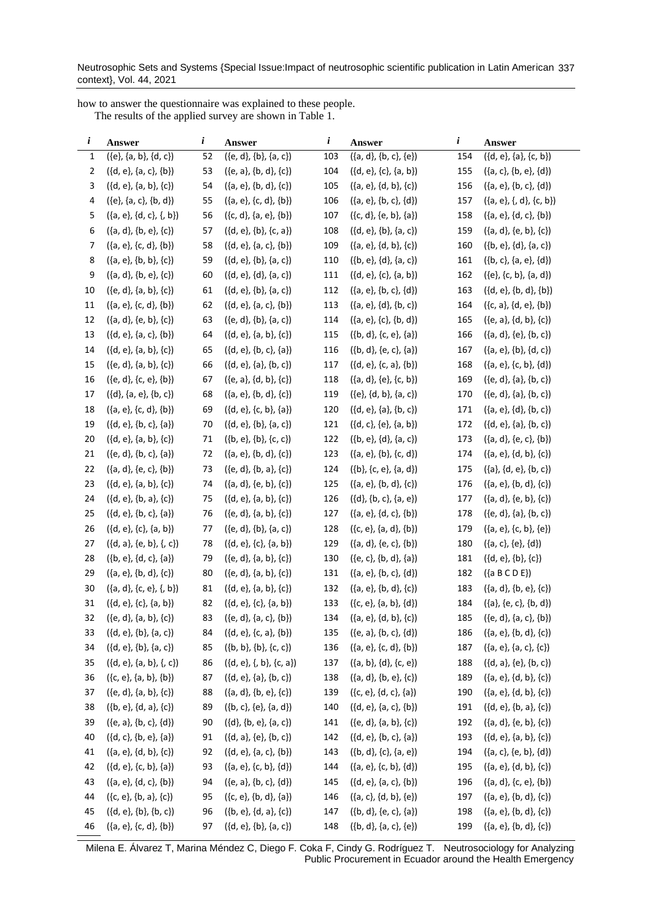Neutrosophic Sets and Systems {Special Issue:Impact of neutrosophic scientific publication in Latin American 337 context}, Vol. 44, 2021

how to answer the questionnaire was explained to these people.

The results of the applied survey are shown in Table 1.

| i              | Answer                      | i  | Answer                     | i   | Answer                      | i   | Answer                      |
|----------------|-----------------------------|----|----------------------------|-----|-----------------------------|-----|-----------------------------|
| 1              | $({e}, {a}, {b}, {d}, {c})$ | 52 | $({e, d}, {b}, {a, c})$    | 103 | ({a, d}, {b, c}, {e})       | 154 | ({d, e}, {a}, {c, b})       |
| $\overline{2}$ | $({d, e}, {a, c}, {b})$     | 53 | $({e, a}, {b, d}, {c})$    | 104 | $({d, e}, {c}, {a, b})$     | 155 | $({a, c}, {b, e}, {d})$     |
| 3              | $({d, e}, {a, b}, {c})$     | 54 | $({a, e}, {b, d}, {c})$    | 105 | $({a, e}, {d, b}, {c})$     | 156 | $({a, e}, {b, c}, {d})$     |
| 4              | $({e}, {a}, {c}, {b}, {d})$ | 55 | $({a, e}, {c, d}, {b})$    | 106 | $({a, e}, {b, c}, {d})$     | 157 | $({a, e}, {d}, {c, b})$     |
| 5              | ({a, e}, {d, c}, {, b})     | 56 | $({c, d}, {a, e}, {b})$    | 107 | ({c, d}, {e, b}, {a})       | 158 | $({a, e}, {d, c}, {b})$     |
| 6              | $({a, d}, {b, e}, {c})$     | 57 | $({d, e}, {b}, {c, a})$    | 108 | $({d, e}, {b}, {a, c})$     | 159 | $({a, d}, {e, b}, {c})$     |
| 7              | $({a, e}, {c, d}, {b})$     | 58 | $({d, e}, {a, c}, {b})$    | 109 | $({a, e}, {d, b}, {c})$     | 160 | $({b, e}, {d}, {a, c})$     |
| 8              | $({a, e}, {b, b}, {c})$     | 59 | $({d, e}, {b}, {a, c})$    | 110 | $({b, e}, {d}, {a, c})$     | 161 | $({b, c}, {a, e}, {d})$     |
| 9              | $({a, d}, {b, e}, {c})$     | 60 | $({d, e}, {d}, {a, c})$    | 111 | $({d, e}, {c}, {a, b})$     | 162 | $({e}, {c}, {b}, {a}, {d})$ |
| 10             | $({e, d}, {a, b}, {c})$     | 61 | $({d, e}, {b}, {a, c})$    | 112 | $({a, e}, {b, c}, {d})$     | 163 | $({d, e}, {b, d}, {b})$     |
| 11             | $({a, e}, {c, d}, {b})$     | 62 | $({d, e}, {a, c}, {b})$    | 113 | $({a, e}, {d}, {b, c})$     | 164 | $({c, a}, {d, e}, {b})$     |
| 12             | $({a, d}, {e, b}, {c})$     | 63 | $({e, d}, {b}, {a, c})$    | 114 | $({a, e}, {c}, {b, d})$     | 165 | $({e, a}, {d, b}, {c})$     |
| 13             | $({d, e}, {a, c}, {b})$     | 64 | $({d, e}, {a, b}, {c})$    | 115 | $({b, d}, {c, e}, {a})$     | 166 | $({a, d}, {e}, {b, c})$     |
| 14             | $({d, e}, {a, b}, {c})$     | 65 | $({d, e}, {b, c}, {a})$    | 116 | ({b, d}, {e, c}, {a})       | 167 | $({a, e}, {b}, {d, c})$     |
| 15             | $({e, d}, {a, b}, {c})$     | 66 | $({d, e}, {a}, {b, c})$    | 117 | $({d, e}, {c, a}, {b})$     | 168 | $({a, e}, {c, b}, {d})$     |
| 16             | ({e, d}, {c, e}, {b})       | 67 | $({e, a}, {d, b}, {c})$    | 118 | $({a, d}, {e}, {c, b})$     | 169 | $({e, d}, {a}, {b, c})$     |
| 17             | $({d}, {a}, e, {b}, c)$     | 68 | $({a, e}, {b, d}, {c})$    | 119 | $({e}, {d}, {b}, {a}, {c})$ | 170 | $({e, d}, {a}, {b, c})$     |
| 18             | $({a, e}, {c, d}, {b})$     | 69 | $({d, e}, {c, b}, {a})$    | 120 | $({d, e}, {a}, {b, c})$     | 171 | $({a, e}, {d}, {b, c})$     |
| 19             | $({d, e}, {b, c}, {a})$     | 70 | $({d, e}, {b}, {a, c})$    | 121 | $({d, c}, {e}, {a, b})$     | 172 | $({d, e}, {a}, {b, c})$     |
| $20\,$         | $({d, e}, {a, b}, {c})$     | 71 | $({b, e}, {b}, {c, c})$    | 122 | $({b, e}, {d}, {a, c})$     | 173 | $({a, d}, {e, c}, {b})$     |
| 21             | $({e, d}, {b, c}, {a})$     | 72 | $({a, e}, {b, d}, {c})$    | 123 | $({a, e}, {b}, {c, d})$     | 174 | $({a, e}, {d, b}, {c})$     |
| 22             | $({a, d}, {e, c}, {b})$     | 73 | $({e, d}, {b, a}, {c})$    | 124 | $({b}, {c}, e, {a}, d)$     | 175 | $({a}, {d}, e, {b}, c)$     |
| 23             | $({d, e}, {a, b}, {c})$     | 74 | $({a, d}, {e, b}, {c})$    | 125 | $({a, e}, {b, d}, {c})$     | 176 | $({a, e}, {b, d}, {c})$     |
| 24             | $({d, e}, {b, a}, {c})$     | 75 | $({d, e}, {a, b}, {c})$    | 126 | $({d}, {b}, {c}, {a}, {e})$ | 177 | $({a, d}, {e, b}, {c})$     |
| 25             | $({d, e}, {b, c}, {a})$     | 76 | $({e, d}, {a, b}, {c})$    | 127 | $({a, e}, {d, c}, {b})$     | 178 | $({e, d}, {a}, {b, c})$     |
| 26             | $({d, e}, {c}, {a, b})$     | 77 | $({e, d}, {b}, {a, c})$    | 128 | $({c, e}, {a, d}, {b})$     | 179 | $({a, e}, {c, b}, {e})$     |
| 27             | $({d, a}, {e, b}, {c})$     | 78 | $({d, e}, {c}, {a, b})$    | 129 | $({a, d}, {e, c}, {b})$     | 180 | $({a, c}, {e}, {d})$        |
| 28             | $({b, e}, {d, c}, {a})$     | 79 | $({e, d}, {a, b}, {c})$    | 130 | $({e, c}, {b, d}, {a})$     | 181 | $({d, e}, {b}, {c})$        |
| 29             | $({a, e}, {b, d}, {c})$     | 80 | $({e, d}, {a, b}, {c})$    | 131 | $({a, e}, {b, c}, {d})$     | 182 | $({a \ B \ C \ D \ E})$     |
| 30             | $({a, d}, {c, e}, {b})$     | 81 | $({d, e}, {a, b}, {c})$    | 132 | $({a, e}, {b, d}, {c})$     | 183 | $({a, d}, {b, e}, {c})$     |
| 31             | $({d, e}, {c}, {a, b})$     | 82 | $({d, e}, {c}, {a, b})$    | 133 | $({c, e}, {a, b}, {d})$     | 184 | $({a}, {e}, {c}, {b}, {d})$ |
| 32             | $({e, d}, {a, b}, {c})$     | 83 | $({e, d}, {a, c}, {b})$    | 134 | ({a, e}, {d, b}, {c})       | 185 | $({e, d}, {a, c}, {b})$     |
| 33             | $({d, e}, {b}, {a, c})$     | 84 | $({d, e}, {c, a}, {b})$    | 135 | $({e, a}, {b, c}, {d})$     | 186 | $({a, e}, {b, d}, {c})$     |
| 34             | $({d, e}, {b}, {a, c})$     | 85 | $({b, b}, {b}, {c, c})$    | 136 | ({a, e}, {c, d}, {b})       | 187 | $({a, e}, {a, c}, {c})$     |
| 35             | $({d, e}, {a, b}, {c})$     | 86 | $({d, e}, {f, b}, {c, a})$ | 137 | ({a, b}, {d}, {c, e})       | 188 | $({d, a}, {e}, {b, c})$     |
| 36             | $({c, e}, {a, b}, {b})$     | 87 | $({d, e}, {a}, {b, c})$    | 138 | ({a, d}, {b, e}, {c})       | 189 | $({a, e}, {d, b}, {c})$     |
| 37             | $({e, d}, {a, b}, {c})$     | 88 | $({a, d}, {b, e}, {c})$    | 139 | $({c, e}, {d, c}, {a})$     | 190 | $({a, e}, {d, b}, {c})$     |
| 38             | $({b, e}, {d, a}, {c})$     | 89 | $({b, c}, {e}, {a, d})$    | 140 | $({d, e}, {a, c}, {b})$     | 191 | $({d, e}, {b, a}, {c})$     |
| 39             | $({e, a}, {b, c}, {d})$     | 90 | $({d}, {b}, e, {a}, c)$    | 141 | $({e, d}, {a, b}, {c})$     | 192 | $({a, d}, {e, b}, {c})$     |
| 40             | $({d, c}, {b, e}, {a})$     | 91 | ({d, a}, {e}, {b, c})      | 142 | $({d, e}, {b, c}, {a})$     | 193 | $({d, e}, {a, b}, {c})$     |
| 41             | $({a, e}, {d, b}, {c})$     | 92 | $({d, e}, {a, c}, {b})$    | 143 | $({b, d}, {c}, {a, e})$     | 194 | $({a, c}, {e, b}, {d})$     |
| 42             | $({d, e}, {c, b}, {a})$     | 93 | $({a, e}, {c, b}, {d})$    | 144 | $({a, e}, {c, b}, {d})$     | 195 | $({a, e}, {d, b}, {c})$     |
| 43             | $({a, e}, {d, c}, {b})$     | 94 | $({e, a}, {b, c}, {d})$    | 145 | $({d, e}, {a, c}, {b})$     | 196 | $({a, d}, {c, e}, {b})$     |
| 44             | $({c, e}, {b, a}, {c})$     | 95 | $({c, e}, {b, d}, {a})$    | 146 | ({a, c}, {d, b}, {e})       | 197 | $({a, e}, {b, d}, {c})$     |
| 45             | $({d, e}, {b}, {b, c})$     | 96 | $({b, e}, {d, a}, {c})$    | 147 | ({b, d}, {e, c}, {a})       | 198 | $({a, e}, {b, d}, {c})$     |
| 46             | $({a, e}, {c, d}, {b})$     | 97 | $({d, e}, {b}, {a, c})$    | 148 | $({b, d}, {a, c}, {e})$     | 199 | $({a, e}, {b, d}, {c})$     |

Milena E. Álvarez T, Marina Méndez C, Diego F. Coka F, Cindy G. Rodríguez T. Neutrosociology for Analyzing Public Procurement in Ecuador around the Health Emergency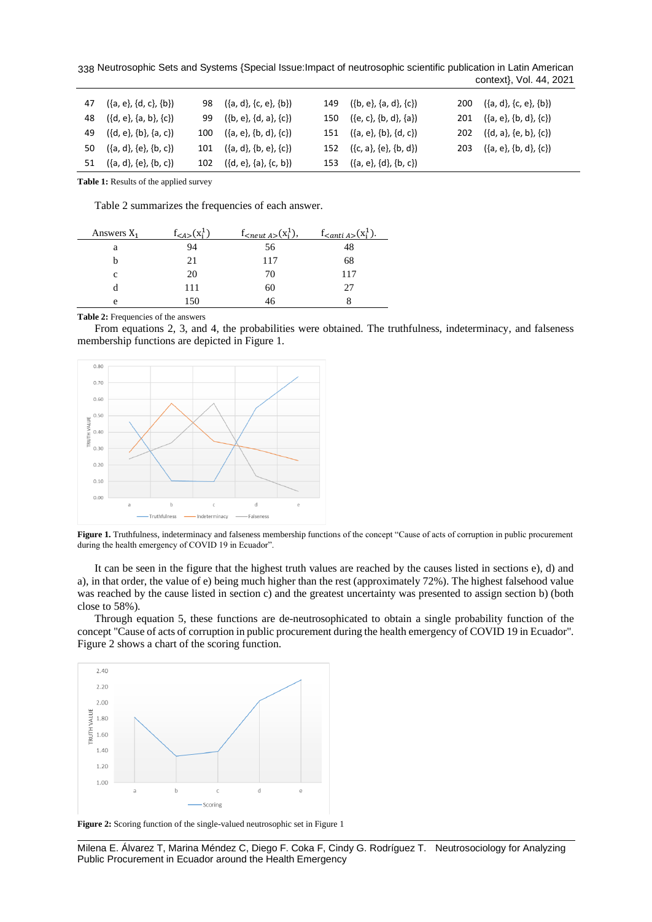Neutrosophic Sets and Systems {Special Issue:Impact of neutrosophic scientific publication in Latin American 338 context}, Vol. 44, 2021

| 47 $({a, e}, {d, c}, {b})$ | 98 $({a, d}, {c, e}, {b})$  | 149 $({b, e}, {a, d}, {c})$ | 200 $({a, d}, {c, e}, {b})$ |
|----------------------------|-----------------------------|-----------------------------|-----------------------------|
| 48 $({d, e}, {a, b}, {c})$ | 99 $({b, e}, {d, a}, {c})$  | 150 $({e, c}, {b, d}, {a})$ | 201 $({a, e}, {b, d}, {c})$ |
| 49 $({d, e}, {b}, {a, c})$ | 100 $({a, e}, {b, d}, {c})$ | 151 $({a, e}, {b}, {d, c})$ | 202 $({d, a}, {e, b}, {c})$ |
| 50 $({a, d}, {e}, {b, c})$ | 101 $({a, d}, {b, e}, {c})$ | 152 $({c, a}, {e}, {b, d})$ | 203 $({a, e}, {b, d}, {c})$ |
| 51 $({a, d}, {e}, {b, c})$ | 102 $({d, e}, {a}, {c, b})$ | 153 $({a, e}, {d}, {b, c})$ |                             |

**Table 1:** Results of the applied survey

Table 2 summarizes the frequencies of each answer.

| Answers $X_1$ | $f_{\leq A >}(x_i^1)$ | $I_{\leq neutr A>}$ $(x_i^1)$ . | $f_{\leq anti}$ $_{A>}(x_i^1)$ . |
|---------------|-----------------------|---------------------------------|----------------------------------|
| a             | 94                    | 56                              | 48                               |
|               | 21                    | 117                             | 68                               |
| c             | 20                    | 70                              | 117                              |
|               | 111                   | 60                              | 27                               |
| e             | .50                   | 46                              |                                  |

**Table 2:** Frequencies of the answers

From equations 2, 3, and 4, the probabilities were obtained. The truthfulness, indeterminacy, and falseness membership functions are depicted in Figure 1.



**Figure 1.** Truthfulness, indeterminacy and falseness membership functions of the concept "Cause of acts of corruption in public procurement during the health emergency of COVID 19 in Ecuador".

It can be seen in the figure that the highest truth values are reached by the causes listed in sections e), d) and a), in that order, the value of e) being much higher than the rest (approximately 72%). The highest falsehood value was reached by the cause listed in section c) and the greatest uncertainty was presented to assign section b) (both close to 58%).

Through equation 5, these functions are de-neutrosophicated to obtain a single probability function of the concept "Cause of acts of corruption in public procurement during the health emergency of COVID 19 in Ecuador". Figure 2 shows a chart of the scoring function.



**Figure 2:** Scoring function of the single-valued neutrosophic set in Figure 1

Milena E. Álvarez T, Marina Méndez C, Diego F. Coka F, Cindy G. Rodríguez T. Neutrosociology for Analyzing Public Procurement in Ecuador around the Health Emergency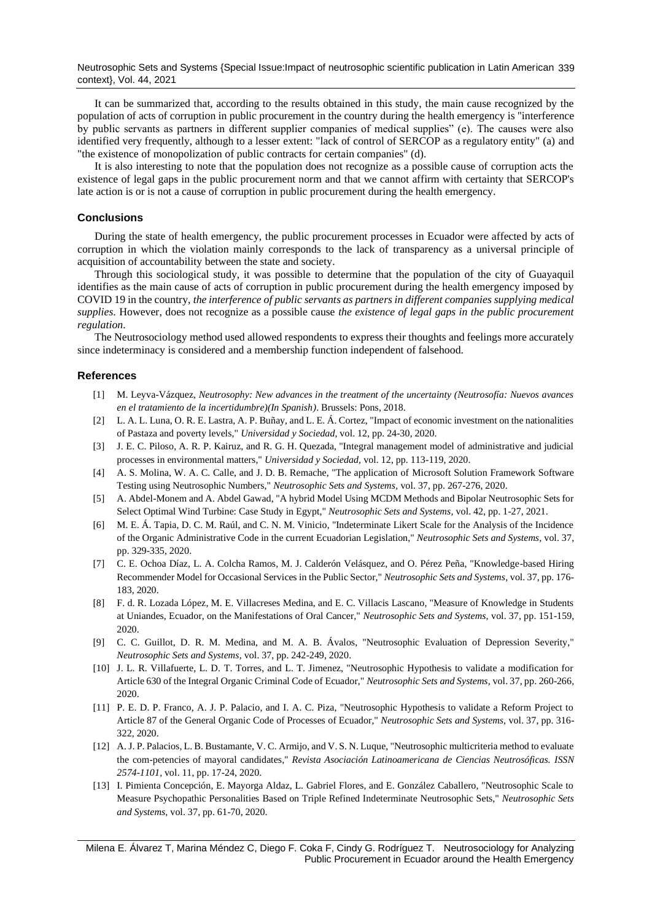Neutrosophic Sets and Systems {Special Issue:Impact of neutrosophic scientific publication in Latin American 339 context}, Vol. 44, 2021

It can be summarized that, according to the results obtained in this study, the main cause recognized by the population of acts of corruption in public procurement in the country during the health emergency is "interference by public servants as partners in different supplier companies of medical supplies" (e). The causes were also identified very frequently, although to a lesser extent: "lack of control of SERCOP as a regulatory entity" (a) and "the existence of monopolization of public contracts for certain companies" (d).

It is also interesting to note that the population does not recognize as a possible cause of corruption acts the existence of legal gaps in the public procurement norm and that we cannot affirm with certainty that SERCOP's late action is or is not a cause of corruption in public procurement during the health emergency.

## **Conclusions**

During the state of health emergency, the public procurement processes in Ecuador were affected by acts of corruption in which the violation mainly corresponds to the lack of transparency as a universal principle of acquisition of accountability between the state and society.

Through this sociological study, it was possible to determine that the population of the city of Guayaquil identifies as the main cause of acts of corruption in public procurement during the health emergency imposed by COVID 19 in the country, *the interference of public servants as partners in different companies supplying medical supplies*. However, does not recognize as a possible cause *the existence of legal gaps in the public procurement regulation*.

The Neutrosociology method used allowed respondents to express their thoughts and feelings more accurately since indeterminacy is considered and a membership function independent of falsehood.

## **References**

- [1] M. Leyva-Vázquez, *Neutrosophy: New advances in the treatment of the uncertainty (Neutrosofía: Nuevos avances en el tratamiento de la incertidumbre)(In Spanish)*. Brussels: Pons, 2018.
- [2] L. A. L. Luna, O. R. E. Lastra, A. P. Buñay, and L. E. Á. Cortez, "Impact of economic investment on the nationalities of Pastaza and poverty levels," *Universidad y Sociedad,* vol. 12, pp. 24-30, 2020.
- [3] J. E. C. Piloso, A. R. P. Kairuz, and R. G. H. Quezada, "Integral management model of administrative and judicial processes in environmental matters," *Universidad y Sociedad,* vol. 12, pp. 113-119, 2020.
- [4] A. S. Molina, W. A. C. Calle, and J. D. B. Remache, "The application of Microsoft Solution Framework Software Testing using Neutrosophic Numbers," *Neutrosophic Sets and Systems,* vol. 37, pp. 267-276, 2020.
- [5] A. Abdel-Monem and A. Abdel Gawad, "A hybrid Model Using MCDM Methods and Bipolar Neutrosophic Sets for Select Optimal Wind Turbine: Case Study in Egypt," *Neutrosophic Sets and Systems,* vol. 42, pp. 1-27, 2021.
- [6] M. E. Á. Tapia, D. C. M. Raúl, and C. N. M. Vinicio, "Indeterminate Likert Scale for the Analysis of the Incidence of the Organic Administrative Code in the current Ecuadorian Legislation," *Neutrosophic Sets and Systems,* vol. 37, pp. 329-335, 2020.
- [7] C. E. Ochoa Díaz, L. A. Colcha Ramos, M. J. Calderón Velásquez, and O. Pérez Peña, "Knowledge-based Hiring Recommender Model for Occasional Services in the Public Sector," *Neutrosophic Sets and Systems,* vol. 37, pp. 176- 183, 2020.
- [8] F. d. R. Lozada López, M. E. Villacreses Medina, and E. C. Villacis Lascano, "Measure of Knowledge in Students at Uniandes, Ecuador, on the Manifestations of Oral Cancer," *Neutrosophic Sets and Systems,* vol. 37, pp. 151-159, 2020.
- [9] C. C. Guillot, D. R. M. Medina, and M. A. B. Ávalos, "Neutrosophic Evaluation of Depression Severity," *Neutrosophic Sets and Systems,* vol. 37, pp. 242-249, 2020.
- [10] J. L. R. Villafuerte, L. D. T. Torres, and L. T. Jimenez, "Neutrosophic Hypothesis to validate a modification for Article 630 of the Integral Organic Criminal Code of Ecuador," *Neutrosophic Sets and Systems,* vol. 37, pp. 260-266, 2020.
- [11] P. E. D. P. Franco, A. J. P. Palacio, and I. A. C. Piza, "Neutrosophic Hypothesis to validate a Reform Project to Article 87 of the General Organic Code of Processes of Ecuador," *Neutrosophic Sets and Systems,* vol. 37, pp. 316- 322, 2020.
- [12] A. J. P. Palacios, L. B. Bustamante, V. C. Armijo, and V. S. N. Luque, "Neutrosophic multicriteria method to evaluate the com-petencies of mayoral candidates," *Revista Asociación Latinoamericana de Ciencias Neutrosóficas. ISSN 2574-1101,* vol. 11, pp. 17-24, 2020.
- [13] I. Pimienta Concepción, E. Mayorga Aldaz, L. Gabriel Flores, and E. González Caballero, "Neutrosophic Scale to Measure Psychopathic Personalities Based on Triple Refined Indeterminate Neutrosophic Sets," *Neutrosophic Sets and Systems,* vol. 37, pp. 61-70, 2020.

Milena E. Álvarez T, Marina Méndez C, Diego F. Coka F, Cindy G. Rodríguez T. Neutrosociology for Analyzing Public Procurement in Ecuador around the Health Emergency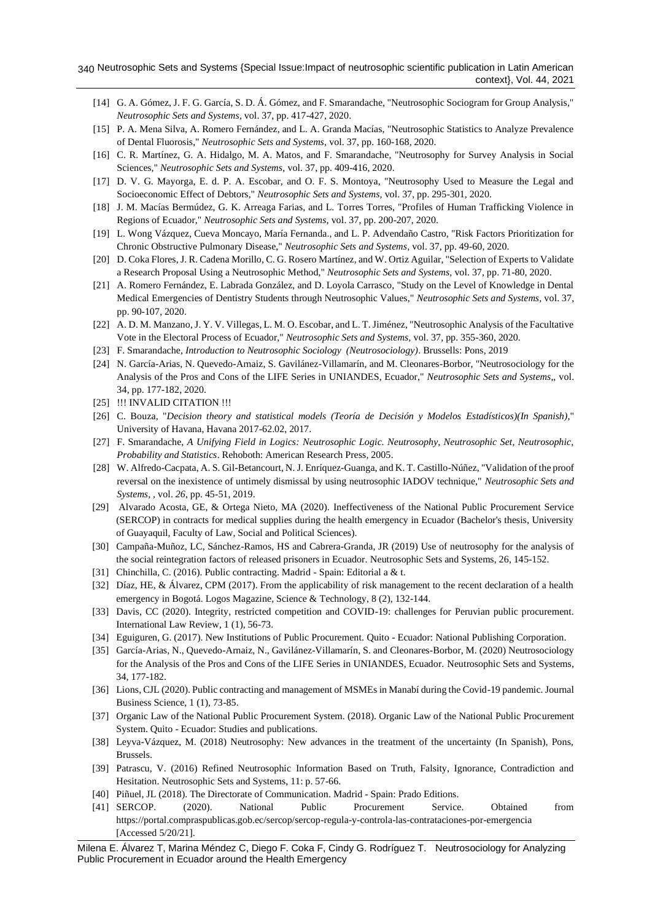- [14] G. A. Gómez, J. F. G. García, S. D. Á. Gómez, and F. Smarandache, "Neutrosophic Sociogram for Group Analysis," *Neutrosophic Sets and Systems,* vol. 37, pp. 417-427, 2020.
- [15] P. A. Mena Silva, A. Romero Fernández, and L. A. Granda Macías, "Neutrosophic Statistics to Analyze Prevalence of Dental Fluorosis," *Neutrosophic Sets and Systems,* vol. 37, pp. 160-168, 2020.
- [16] C. R. Martínez, G. A. Hidalgo, M. A. Matos, and F. Smarandache, "Neutrosophy for Survey Analysis in Social Sciences," *Neutrosophic Sets and Systems,* vol. 37, pp. 409-416, 2020.
- [17] D. V. G. Mayorga, E. d. P. A. Escobar, and O. F. S. Montoya, "Neutrosophy Used to Measure the Legal and Socioeconomic Effect of Debtors," *Neutrosophic Sets and Systems,* vol. 37, pp. 295-301, 2020.
- [18] J. M. Macías Bermúdez, G. K. Arreaga Farias, and L. Torres Torres, "Profiles of Human Trafficking Violence in Regions of Ecuador," *Neutrosophic Sets and Systems,* vol. 37, pp. 200-207, 2020.
- [19] L. Wong Vázquez, Cueva Moncayo, María Fernanda., and L. P. Advendaño Castro, "Risk Factors Prioritization for Chronic Obstructive Pulmonary Disease," *Neutrosophic Sets and Systems,* vol. 37, pp. 49-60, 2020.
- [20] D. Coka Flores, J. R. Cadena Morillo, C. G. Rosero Martínez, and W. Ortiz Aguilar, "Selection of Experts to Validate a Research Proposal Using a Neutrosophic Method," *Neutrosophic Sets and Systems,* vol. 37, pp. 71-80, 2020.
- [21] A. Romero Fernández, E. Labrada González, and D. Loyola Carrasco, "Study on the Level of Knowledge in Dental Medical Emergencies of Dentistry Students through Neutrosophic Values," *Neutrosophic Sets and Systems,* vol. 37, pp. 90-107, 2020.
- [22] A. D. M. Manzano, J. Y. V. Villegas, L. M. O. Escobar, and L. T. Jiménez, "Neutrosophic Analysis of the Facultative Vote in the Electoral Process of Ecuador," *Neutrosophic Sets and Systems,* vol. 37, pp. 355-360, 2020.
- [23] F. Smarandache, *Introduction to Neutrosophic Sociology (Neutrosociology)*. Brussells: Pons, 2019
- [24] N. García-Arias, N. Quevedo-Arnaiz, S. Gavilánez-Villamarín, and M. Cleonares-Borbor, "Neutrosociology for the Analysis of the Pros and Cons of the LIFE Series in UNIANDES, Ecuador," *Neutrosophic Sets and Systems,,* vol. 34, pp. 177-182, 2020.
- [25] !!! INVALID CITATION !!!
- [26] C. Bouza, "*Decision theory and statistical models (Teoría de Decisión y Modelos Estadísticos)(In Spanish)*," University of Havana, Havana 2017-62.02, 2017.
- [27] F. Smarandache, *A Unifying Field in Logics: Neutrosophic Logic. Neutrosophy, Neutrosophic Set, Neutrosophic, Probability and Statistics*. Rehoboth: American Research Press, 2005.
- [28] W. Alfredo-Cacpata, A. S. Gil-Betancourt, N. J. Enríquez-Guanga, and K. T. Castillo-Núñez, "Validation of the proof reversal on the inexistence of untimely dismissal by using neutrosophic IADOV technique," *Neutrosophic Sets and Systems, ,* vol. *26*, pp. 45-51, 2019.
- [29] Alvarado Acosta, GE, & Ortega Nieto, MA (2020). Ineffectiveness of the National Public Procurement Service (SERCOP) in contracts for medical supplies during the health emergency in Ecuador (Bachelor's thesis, University of Guayaquil, Faculty of Law, Social and Political Sciences).
- [30] Campaña-Muñoz, LC, Sánchez-Ramos, HS and Cabrera-Granda, JR (2019) Use of neutrosophy for the analysis of the social reintegration factors of released prisoners in Ecuador. Neutrosophic Sets and Systems, 26, 145-152.
- [31] Chinchilla, C. (2016). Public contracting. Madrid Spain: Editorial a & t.
- [32] Díaz, HE, & Álvarez, CPM (2017). From the applicability of risk management to the recent declaration of a health emergency in Bogotá. Logos Magazine, Science & Technology, 8 (2), 132-144.
- [33] Davis, CC (2020). Integrity, restricted competition and COVID-19: challenges for Peruvian public procurement. International Law Review, 1 (1), 56-73.
- [34] Eguiguren, G. (2017). New Institutions of Public Procurement. Quito Ecuador: National Publishing Corporation.
- [35] García-Arias, N., Quevedo-Arnaiz, N., Gavilánez-Villamarín, S. and Cleonares-Borbor, M. (2020) Neutrosociology for the Analysis of the Pros and Cons of the LIFE Series in UNIANDES, Ecuador. Neutrosophic Sets and Systems, 34, 177-182.
- [36] Lions, CJL (2020). Public contracting and management of MSMEs in Manabí during the Covid-19 pandemic. Journal Business Science, 1 (1), 73-85.
- [37] Organic Law of the National Public Procurement System. (2018). Organic Law of the National Public Procurement System. Quito - Ecuador: Studies and publications.
- [38] Leyva-Vázquez, M. (2018) Neutrosophy: New advances in the treatment of the uncertainty (In Spanish), Pons, Brussels.
- [39] Patrascu, V. (2016) Refined Neutrosophic Information Based on Truth, Falsity, Ignorance, Contradiction and Hesitation. Neutrosophic Sets and Systems, 11: p. 57-66.
- [40] Piñuel, JL (2018). The Directorate of Communication. Madrid Spain: Prado Editions.
- [41] SERCOP. (2020). National Public Procurement Service. Obtained from https://portal.compraspublicas.gob.ec/sercop/sercop-regula-y-controla-las-contrataciones-por-emergencia [Accessed 5/20/21].

Milena E. Álvarez T, Marina Méndez C, Diego F. Coka F, Cindy G. Rodríguez T. Neutrosociology for Analyzing Public Procurement in Ecuador around the Health Emergency